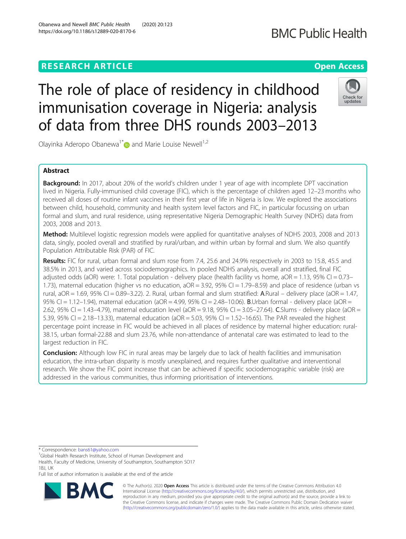## **RESEARCH ARTICLE Example 2014 12:30 The Contract of Contract ACCESS**

# The role of place of residency in childhood immunisation coverage in Nigeria: analysis of data from three DHS rounds 2003–2013

Olayinka Aderopo Obanewa<sup>1\*</sup> and Marie Louise Newell<sup>1,2</sup>

## Abstract

**Background:** In 2017, about 20% of the world's children under 1 year of age with incomplete DPT vaccination lived in Nigeria. Fully-immunised child coverage (FIC), which is the percentage of children aged 12–23 months who received all doses of routine infant vaccines in their first year of life in Nigeria is low. We explored the associations between child, household, community and health system level factors and FIC, in particular focussing on urban formal and slum, and rural residence, using representative Nigeria Demographic Health Survey (NDHS) data from 2003, 2008 and 2013.

Method: Multilevel logistic regression models were applied for quantitative analyses of NDHS 2003, 2008 and 2013 data, singly, pooled overall and stratified by rural/urban, and within urban by formal and slum. We also quantify Population Attributable Risk (PAR) of FIC.

Results: FIC for rural, urban formal and slum rose from 7.4, 25.6 and 24.9% respectively in 2003 to 15.8, 45.5 and 38.5% in 2013, and varied across sociodemographics. In pooled NDHS analysis, overall and stratified, final FIC adjusted odds (aOR) were: 1. Total population - delivery place (health facility vs home,  $aOR = 1.13$ , 95% CI = 0.73– 1.73), maternal education (higher vs no education, aOR = 3.92, 95% CI = 1.79–8.59) and place of residence (urban vs rural,  $aOR = 1.69$ ,  $95\%$  CI = 0.89-3.22). 2. Rural, urban formal and slum stratified: A.Rural – delivery place ( $aOR = 1.47$ , 95% CI = 1.12-1.94), maternal education (aOR = 4.99, 95% CI = 2.48-10.06). **B**.Urban formal - delivery place (aOR = 2.62, 95% CI = 1.43–4.79), maternal education level (aOR = 9.18, 95% CI = 3.05–27.64). C.Slums - delivery place (aOR = 5.39, 95% CI = 2.18–13.33), maternal education (aOR = 5.03, 95% CI = 1.52–16.65). The PAR revealed the highest percentage point increase in FIC would be achieved in all places of residence by maternal higher education: rural-38.15, urban formal-22.88 and slum 23.76, while non-attendance of antenatal care was estimated to lead to the largest reduction in FIC.

**Conclusion:** Although low FIC in rural areas may be largely due to lack of health facilities and immunisation education, the intra-urban disparity is mostly unexplained, and requires further qualitative and interventional research. We show the FIC point increase that can be achieved if specific sociodemographic variable (risk) are addressed in the various communities, thus informing prioritisation of interventions.

\* Correspondence: [bans61@yahoo.com](mailto:bans61@yahoo.com) <sup>1</sup>

<sup>1</sup>Global Health Research Institute, School of Human Development and Health, Faculty of Medicine, University of Southampton, Southampton SO17 1BJ, UK

Full list of author information is available at the end of the article

© The Author(s). 2020 **Open Access** This article is distributed under the terms of the Creative Commons Attribution 4.0 International License [\(http://creativecommons.org/licenses/by/4.0/](http://creativecommons.org/licenses/by/4.0/)), which permits unrestricted use, distribution, and reproduction in any medium, provided you give appropriate credit to the original author(s) and the source, provide a link to the Creative Commons license, and indicate if changes were made. The Creative Commons Public Domain Dedication waiver [\(http://creativecommons.org/publicdomain/zero/1.0/](http://creativecommons.org/publicdomain/zero/1.0/)) applies to the data made available in this article, unless otherwise stated.







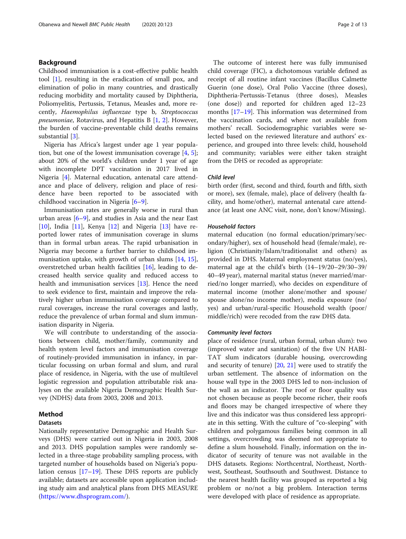## Background

Childhood immunisation is a cost-effective public health tool [\[1](#page-11-0)], resulting in the eradication of small pox, and elimination of polio in many countries, and drastically reducing morbidity and mortality caused by Diphtheria, Poliomyelitis, Pertussis, Tetanus, Measles and, more recently, Haemophilus influenzae type b, Streptococcus pneumoniae, Rotavirus, and Hepatitis B [[1,](#page-11-0) [2](#page-11-0)]. However, the burden of vaccine-preventable child deaths remains substantial [\[3](#page-11-0)].

Nigeria has Africa's largest under age 1 year population, but one of the lowest immunisation coverage  $[4, 5]$  $[4, 5]$  $[4, 5]$  $[4, 5]$ ; about 20% of the world's children under 1 year of age with incomplete DPT vaccination in 2017 lived in Nigeria [\[4](#page-11-0)]. Maternal education, antenatal care attendance and place of delivery, religion and place of residence have been reported to be associated with childhood vaccination in Nigeria [\[6](#page-11-0)–[9](#page-11-0)].

Immunisation rates are generally worse in rural than urban areas  $[6-9]$  $[6-9]$  $[6-9]$ , and studies in Asia and the near East [[10\]](#page-11-0), India [[11\]](#page-11-0), Kenya [[12\]](#page-11-0) and Nigeria [[13](#page-11-0)] have reported lower rates of immunisation coverage in slums than in formal urban areas. The rapid urbanisation in Nigeria may become a further barrier to childhood immunisation uptake, with growth of urban slums [\[14](#page-11-0), [15](#page-11-0)], overstretched urban health facilities [[16\]](#page-11-0), leading to decreased health service quality and reduced access to health and immunisation services [[13](#page-11-0)]. Hence the need to seek evidence to first, maintain and improve the relatively higher urban immunisation coverage compared to rural coverages, increase the rural coverages and lastly, reduce the prevalence of urban formal and slum immunisation disparity in Nigeria.

We will contribute to understanding of the associations between child, mother/family, community and health system level factors and immunisation coverage of routinely-provided immunisation in infancy, in particular focussing on urban formal and slum, and rural place of residence, in Nigeria, with the use of multilevel logistic regression and population attributable risk analyses on the available Nigeria Demographic Health Survey (NDHS) data from 2003, 2008 and 2013.

### Method

## Datasets

Nationally representative Demographic and Health Surveys (DHS) were carried out in Nigeria in 2003, 2008 and 2013. DHS population samples were randomly selected in a three-stage probability sampling process, with targeted number of households based on Nigeria's population census [\[17](#page-11-0)–[19\]](#page-11-0). These DHS reports are publicly available; datasets are accessible upon application including study aim and analytical plans from DHS MEASURE (<https://www.dhsprogram.com/>).

The outcome of interest here was fully immunised child coverage (FIC), a dichotomous variable defined as receipt of all routine infant vaccines (Bacillus Calmette Guerin (one dose), Oral Polio Vaccine (three doses), Diphtheria-Pertussis-Tetanus (three doses), Measles (one dose)) and reported for children aged 12–23 months [\[17](#page-11-0)–[19\]](#page-11-0). This information was determined from the vaccination cards, and where not available from mothers' recall. Sociodemographic variables were selected based on the reviewed literature and authors' experience, and grouped into three levels: child, household and community; variables were either taken straight from the DHS or recoded as appropriate:

## Child level

birth order (first, second and third, fourth and fifth, sixth or more), sex (female, male), place of delivery (health facility, and home/other), maternal antenatal care attendance (at least one ANC visit, none, don't know/Missing).

#### Household factors

maternal education (no formal education/primary/secondary/higher), sex of household head (female/male), religion (Christianity/Islam/traditionalist and others) as provided in DHS. Maternal employment status (no/yes), maternal age at the child's birth (14–19/20–29/30–39/ 40–49 year), maternal marital status (never married/married/no longer married), who decides on expenditure of maternal income (mother alone/mother and spouse/ spouse alone/no income mother), media exposure (no/ yes) and urban/rural-specific Household wealth (poor/ middle/rich) were recoded from the raw DHS data.

#### Community level factors

place of residence (rural, urban formal, urban slum): two (improved water and sanitation) of the five UN HABI-TAT slum indicators (durable housing, overcrowding and security of tenure) [[20,](#page-11-0) [21](#page-11-0)] were used to stratify the urban settlement. The absence of information on the house wall type in the 2003 DHS led to non-inclusion of the wall as an indicator. The roof or floor quality was not chosen because as people become richer, their roofs and floors may be changed irrespective of where they live and this indicator was thus considered less appropriate in this setting. With the culture of "co-sleeping" with children and polygamous families being common in all settings, overcrowding was deemed not appropriate to define a slum household. Finally, information on the indicator of security of tenure was not available in the DHS datasets. Regions: Northcentral, Northeast, Northwest, Southeast, Southsouth and Southwest. Distance to the nearest health facility was grouped as reported a big problem or no/not a big problem. Interaction terms were developed with place of residence as appropriate.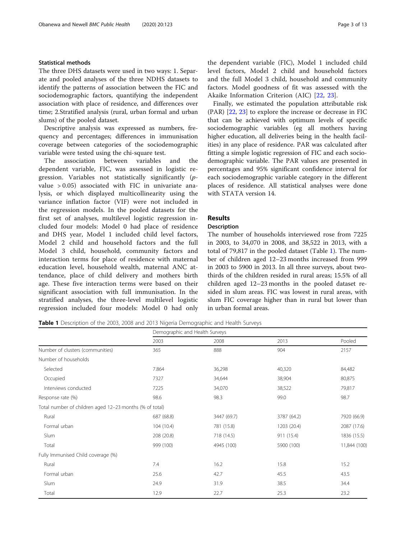## Statistical methods

The three DHS datasets were used in two ways: 1. Separate and pooled analyses of the three NDHS datasets to identify the patterns of association between the FIC and sociodemographic factors, quantifying the independent association with place of residence, and differences over time; 2.Stratified analysis (rural, urban formal and urban slums) of the pooled dataset.

Descriptive analysis was expressed as numbers, frequency and percentages; differences in immunisation coverage between categories of the sociodemographic variable were tested using the chi-square test.

The association between variables and the dependent variable, FIC, was assessed in logistic regression. Variables not statistically significantly (pvalue > 0.05) associated with FIC in univariate analysis, or which displayed multicollinearity using the variance inflation factor (VIF) were not included in the regression models. In the pooled datasets for the first set of analyses, multilevel logistic regression included four models: Model 0 had place of residence and DHS year, Model 1 included child level factors, Model 2 child and household factors and the full Model 3 child, household, community factors and interaction terms for place of residence with maternal education level, household wealth, maternal ANC attendance, place of child delivery and mothers birth age. These five interaction terms were based on their significant association with full immunisation. In the stratified analyses, the three-level multilevel logistic regression included four models: Model 0 had only the dependent variable (FIC), Model 1 included child level factors, Model 2 child and household factors and the full Model 3 child, household and community factors. Model goodness of fit was assessed with the Akaike Information Criterion (AIC) [\[22](#page-11-0), [23](#page-11-0)].

Finally, we estimated the population attributable risk (PAR) [[22,](#page-11-0) [23\]](#page-11-0) to explore the increase or decrease in FIC that can be achieved with optimum levels of specific sociodemographic variables (eg all mothers having higher education, all deliveries being in the health facilities) in any place of residence. PAR was calculated after fitting a simple logistic regression of FIC and each sociodemographic variable. The PAR values are presented in percentages and 95% significant confidence interval for each sociodemographic variable category in the different places of residence. All statistical analyses were done with STATA version 14.

## Results

## Description

The number of households interviewed rose from 7225 in 2003, to 34,070 in 2008, and 38,522 in 2013, with a total of 79,817 in the pooled dataset (Table 1). The number of children aged 12–23 months increased from 999 in 2003 to 5900 in 2013. In all three surveys, about twothirds of the children resided in rural areas; 15.5% of all children aged 12–23 months in the pooled dataset resided in slum areas. FIC was lowest in rural areas, with slum FIC coverage higher than in rural but lower than in urban formal areas.

Table 1 Description of the 2003, 2008 and 2013 Nigeria Demographic and Health Surveys

|                                                         |            | Demographic and Health Surveys |             |              |  |
|---------------------------------------------------------|------------|--------------------------------|-------------|--------------|--|
|                                                         | 2003       | 2008                           | 2013        | Pooled       |  |
| Number of clusters (communities)                        | 365        | 888                            | 904         | 2157         |  |
| Number of households                                    |            |                                |             |              |  |
| Selected                                                | 7.864      | 36,298                         | 40,320      | 84,482       |  |
| Occupied                                                | 7327       | 34,644                         | 38,904      | 80,875       |  |
| Interviews conducted                                    | 7225       | 34,070                         | 38,522      | 79,817       |  |
| Response rate (%)                                       | 98.6       | 98.3                           | 99.0        | 98.7         |  |
| Total number of children aged 12-23 months (% of total) |            |                                |             |              |  |
| Rural                                                   | 687 (68.8) | 3447 (69.7)                    | 3787 (64.2) | 7920 (66.9)  |  |
| Formal urban                                            | 104 (10.4) | 781 (15.8)                     | 1203 (20.4) | 2087 (17.6)  |  |
| Slum                                                    | 208 (20.8) | 718 (14.5)                     | 911 (15.4)  | 1836 (15.5)  |  |
| Total                                                   | 999 (100)  | 4945 (100)                     | 5900 (100)  | 11,844 (100) |  |
| Fully Immunised Child coverage (%)                      |            |                                |             |              |  |
| Rural                                                   | 7.4        | 16.2                           | 15.8        | 15.2         |  |
| Formal urban                                            | 25.6       | 42.7                           | 45.5        | 43.5         |  |
| Slum                                                    | 24.9       | 31.9                           | 38.5        | 34.4         |  |
| Total                                                   | 12.9       | 22.7                           | 25.3        | 23.2         |  |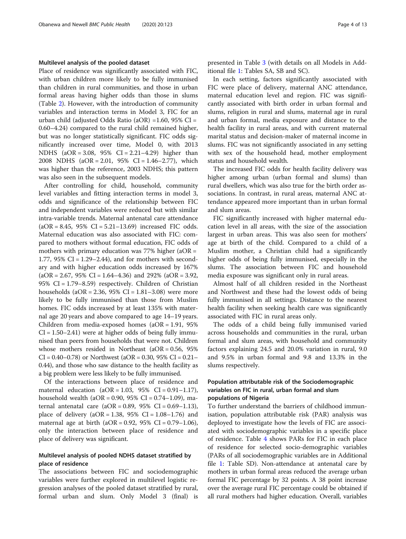#### Multilevel analysis of the pooled dataset

Place of residence was significantly associated with FIC, with urban children more likely to be fully immunised than children in rural communities, and those in urban formal areas having higher odds than those in slums (Table [2\)](#page-4-0). However, with the introduction of community variables and interaction terms in Model 3, FIC for an urban child (adjusted Odds Ratio (aOR) =1.60, 95% CI = 0.60–4.24) compared to the rural child remained higher, but was no longer statistically significant. FIC odds significantly increased over time, Model 0, with 2013 NDHS (aOR = 3.08, 95% CI = 2.21–4.29) higher than 2008 NDHS (aOR = 2.01, 95% CI = 1.46–2.77), which was higher than the reference, 2003 NDHS; this pattern was also seen in the subsequent models.

After controlling for child, household, community level variables and fitting interaction terms in model 3, odds and significance of the relationship between FIC and independent variables were reduced but with similar intra-variable trends. Maternal antenatal care attendance  $(aOR = 8.45, 95\% \text{ CI} = 5.21 - 13.69)$  increased FIC odds. Maternal education was also associated with FIC: compared to mothers without formal education, FIC odds of mothers with primary education was  $77\%$  higher (aOR = 1.77, 95% CI =  $1.29-2.44$ ), and for mothers with secondary and with higher education odds increased by 167%  $(aOR = 2.67, 95\% \text{ CI} = 1.64 - 4.36)$  and 292%  $(aOR = 3.92,$ 95% CI = 1.79–8.59) respectively. Children of Christian households  $(aOR = 2.36, 95\% \text{ CI} = 1.81 - 3.08)$  were more likely to be fully immunised than those from Muslim homes. FIC odds increased by at least 135% with maternal age 20 years and above compared to age 14–19 years. Children from media-exposed homes  $(aOR = 1.91, 95\%)$  $CI = 1.50 - 2.41$ ) were at higher odds of being fully immunised than peers from households that were not. Children whose mothers resided in Northeast (aOR = 0.56, 95%  $CI = 0.40 - 0.78$  or Northwest (aOR = 0.30, 95%  $CI = 0.21 -$ 0.44), and those who saw distance to the health facility as a big problem were less likely to be fully immunised.

Of the interactions between place of residence and maternal education  $(aOR = 1.03, 95\% \text{ CI} = 0.91 - 1.17)$ , household wealth (aOR =  $0.90$ ,  $95\%$  CI =  $0.74-1.09$ ), maternal antenatal care  $(aOR = 0.89, 95\% \text{ CI} = 0.69 - 1.13),$ place of delivery  $(aOR = 1.38, 95\% \text{ CI} = 1.08 - 1.76)$  and maternal age at birth (aOR = 0.92, 95% CI = 0.79-1.06), only the interaction between place of residence and place of delivery was significant.

## Multilevel analysis of pooled NDHS dataset stratified by place of residence

The associations between FIC and sociodemographic variables were further explored in multilevel logistic regression analyses of the pooled dataset stratified by rural, formal urban and slum. Only Model 3 (final) is

presented in Table [3](#page-6-0) (with details on all Models in Additional file [1:](#page-10-0) Tables SA, SB and SC).

In each setting, factors significantly associated with FIC were place of delivery, maternal ANC attendance, maternal education level and region. FIC was significantly associated with birth order in urban formal and slums, religion in rural and slums, maternal age in rural and urban formal, media exposure and distance to the health facility in rural areas, and with current maternal marital status and decision-maker of maternal income in slums. FIC was not significantly associated in any setting with sex of the household head, mother employment status and household wealth.

The increased FIC odds for health facility delivery was higher among urban (urban formal and slums) than rural dwellers, which was also true for the birth order associations. In contrast, in rural areas, maternal ANC attendance appeared more important than in urban formal and slum areas.

FIC significantly increased with higher maternal education level in all areas, with the size of the association largest in urban areas. This was also seen for mothers' age at birth of the child. Compared to a child of a Muslim mother, a Christian child had a significantly higher odds of being fully immunised, especially in the slums. The association between FIC and household media exposure was significant only in rural areas.

Almost half of all children resided in the Northeast and Northwest and these had the lowest odds of being fully immunised in all settings. Distance to the nearest health facility when seeking health care was significantly associated with FIC in rural areas only.

The odds of a child being fully immunised varied across households and communities in the rural, urban formal and slum areas, with household and community factors explaining 24.5 and 20.0% variation in rural, 9.0 and 9.5% in urban formal and 9.8 and 13.3% in the slums respectively.

## Population attributable risk of the Sociodemographic variables on FIC in rural, urban formal and slum populations of Nigeria

To further understand the barriers of childhood immunisation, population attributable risk (PAR) analysis was deployed to investigate how the levels of FIC are associated with sociodemographic variables in a specific place of residence. Table [4](#page-8-0) shows PARs for FIC in each place of residence for selected socio-demographic variables (PARs of all sociodemographic variables are in Additional file [1:](#page-10-0) Table SD). Non-attendance at antenatal care by mothers in urban formal areas reduced the average urban formal FIC percentage by 32 points. A 38 point increase over the average rural FIC percentage could be obtained if all rural mothers had higher education. Overall, variables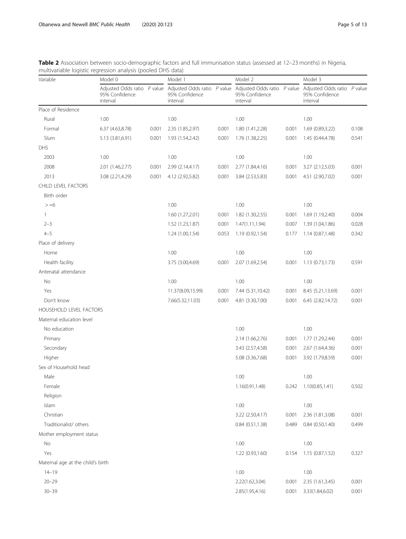<span id="page-4-0"></span>

| Table 2 Association between socio-demographic factors and full immunisation status (assessed at 12–23 months) in Nigeria, |  |
|---------------------------------------------------------------------------------------------------------------------------|--|
| multivariable logistic regression analysis (pooled DHS data)                                                              |  |

| Variable                          | Model 0                                                     |       | Model 1                                                     |       | Model 2                                                   |       | Model 3                                                   |       |
|-----------------------------------|-------------------------------------------------------------|-------|-------------------------------------------------------------|-------|-----------------------------------------------------------|-------|-----------------------------------------------------------|-------|
|                                   | Adjusted Odds ratio $P$ value<br>95% Confidence<br>interval |       | Adjusted Odds ratio $P$ value<br>95% Confidence<br>interval |       | Adjusted Odds ratio P value<br>95% Confidence<br>interval |       | Adjusted Odds ratio P value<br>95% Confidence<br>interval |       |
| Place of Residence                |                                                             |       |                                                             |       |                                                           |       |                                                           |       |
| Rural                             | 1.00                                                        |       | 1.00                                                        |       | 1.00                                                      |       | 1.00                                                      |       |
| Formal                            | 6.37 (4.63,8.78)                                            | 0.001 | 2.35 (1.85,2.97)                                            | 0.001 | 1.80 (1.41,2.28)                                          | 0.001 | 1.69 (0.89,3.22)                                          | 0.108 |
| Slum                              | 5.13 (3.81,6.91)                                            | 0.001 | 1.93 (1.54,2.42)                                            | 0.001 | 1.76 (1.38,2.25)                                          | 0.001 | 1.45 (0.44,4.78)                                          | 0.541 |
| DHS                               |                                                             |       |                                                             |       |                                                           |       |                                                           |       |
| 2003                              | 1.00                                                        |       | 1.00                                                        |       | 1.00                                                      |       | 1.00                                                      |       |
| 2008                              | 2.01 (1.46,2.77)                                            | 0.001 | 2.99 (2.14,4.17)                                            | 0.001 | 2.77 (1.84,4.16)                                          | 0.001 | 3.27 (2.12,5.03)                                          | 0.001 |
| 2013                              | 3.08 (2.21,4.29)                                            | 0.001 | 4.12 (2.92,5.82)                                            | 0.001 | 3.84 (2.53,5.83)                                          | 0.001 | 4.51 (2.90,7.02)                                          | 0.001 |
| CHILD LEVEL FACTORS               |                                                             |       |                                                             |       |                                                           |       |                                                           |       |
| Birth order                       |                                                             |       |                                                             |       |                                                           |       |                                                           |       |
| $> = 6$                           |                                                             |       | 1.00                                                        |       | 1.00                                                      |       | 1.00                                                      |       |
| $\mathbf{1}$                      |                                                             |       | 1.60 (1.27,2.01)                                            | 0.001 | 1.82 (1.30,2.55)                                          | 0.001 | 1.69 (1.19,2.40)                                          | 0.004 |
| $2 - 3$                           |                                                             |       | 1.52 (1.23,1.87)                                            | 0.001 | 1.47(1.11, 1.94)                                          | 0.007 | 1.39 (1.04,1.86)                                          | 0.028 |
| $4 - 5$                           |                                                             |       | 1.24 (1.00,1.54)                                            | 0.053 | 1.19 (0.92,1.54)                                          | 0.177 | 1.14(0.87, 1.48)                                          | 0.342 |
| Place of delivery                 |                                                             |       |                                                             |       |                                                           |       |                                                           |       |
| Home                              |                                                             |       | 1.00                                                        |       | 1.00                                                      |       | 1.00                                                      |       |
| Health facility                   |                                                             |       | 3.75 (3.00,4.69)                                            | 0.001 | 2.07 (1.69,2.54)                                          | 0.001 | 1.13 (0.73,1.73)                                          | 0.591 |
| Antenatal attendance              |                                                             |       |                                                             |       |                                                           |       |                                                           |       |
| No                                |                                                             |       | 1.00                                                        |       | 1.00                                                      |       | 1.00                                                      |       |
| Yes                               |                                                             |       | 11.37(8.09,15.99)                                           | 0.001 | 7.44 (5.31,10.42)                                         | 0.001 | 8.45 (5.21,13.69)                                         | 0.001 |
| Don't know                        |                                                             |       | 7.66(5.32,11.03)                                            | 0.001 | 4.81 (3.30,7.00)                                          | 0.001 | 6.45 (2.82,14.72)                                         | 0.001 |
| HOUSEHOLD LEVEL FACTORS           |                                                             |       |                                                             |       |                                                           |       |                                                           |       |
| Maternal education level          |                                                             |       |                                                             |       |                                                           |       |                                                           |       |
| No education                      |                                                             |       |                                                             |       | 1.00                                                      |       | 1.00                                                      |       |
| Primary                           |                                                             |       |                                                             |       | 2.14 (1.66,2.76)                                          | 0.001 | 1.77 (1.29,2.44)                                          | 0.001 |
| Secondary                         |                                                             |       |                                                             |       | 3.43 (2.57,4.58)                                          | 0.001 | 2.67 (1.64,4.36)                                          | 0.001 |
| Higher                            |                                                             |       |                                                             |       | 5.08 (3.36,7.68)                                          | 0.001 | 3.92 (1.79,8.59)                                          | 0.001 |
| Sex of Household head             |                                                             |       |                                                             |       |                                                           |       |                                                           |       |
| Male                              |                                                             |       |                                                             |       | 1.00                                                      |       | 1.00                                                      |       |
| Female                            |                                                             |       |                                                             |       | 1.16(0.91,1.48)                                           | 0.242 | 1.10(0.85, 1.41)                                          | 0.502 |
| Religion                          |                                                             |       |                                                             |       |                                                           |       |                                                           |       |
| Islam                             |                                                             |       |                                                             |       | 1.00                                                      |       | 1.00                                                      |       |
| Christian                         |                                                             |       |                                                             |       | 3.22 (2.50,4.17)                                          | 0.001 | 2.36 (1.81,3.08)                                          | 0.001 |
| Traditionalist/ others            |                                                             |       |                                                             |       | 0.84(0.51, 1.38)                                          | 0.489 | 0.84(0.50, 1.40)                                          | 0.499 |
| Mother employment status          |                                                             |       |                                                             |       |                                                           |       |                                                           |       |
| No                                |                                                             |       |                                                             |       | 1.00                                                      |       | 1.00                                                      |       |
| Yes                               |                                                             |       |                                                             |       | 1.22 (0.93,1.60)                                          | 0.154 | 1.15 (0.87,1.52)                                          | 0.327 |
| Maternal age at the child's birth |                                                             |       |                                                             |       |                                                           |       |                                                           |       |
| $14 - 19$                         |                                                             |       |                                                             |       | 1.00                                                      |       | 1.00                                                      |       |
| $20 - 29$                         |                                                             |       |                                                             |       | 2.22(1.62,3.04)                                           | 0.001 | 2.35 (1.61,3.45)                                          | 0.001 |
| $30 - 39$                         |                                                             |       |                                                             |       | 2.85(1.95,4.16)                                           | 0.001 | 3.33(1.84,6.02)                                           | 0.001 |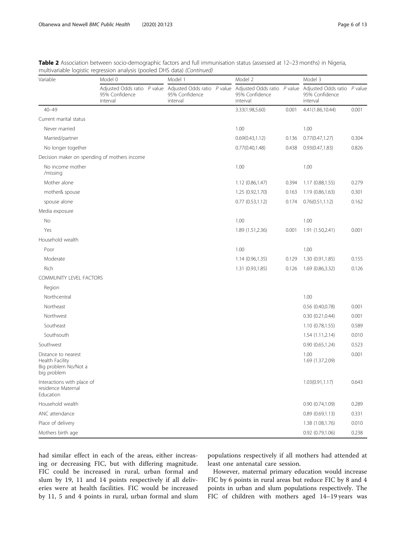| Variable                                                                      | Model 0                                                     |  | Model 1                                                     |  | Model 2                                                     |       | Model 3                                                   |       |
|-------------------------------------------------------------------------------|-------------------------------------------------------------|--|-------------------------------------------------------------|--|-------------------------------------------------------------|-------|-----------------------------------------------------------|-------|
|                                                                               | Adjusted Odds ratio $P$ value<br>95% Confidence<br>interval |  | Adjusted Odds ratio $P$ value<br>95% Confidence<br>interval |  | Adjusted Odds ratio $P$ value<br>95% Confidence<br>interval |       | Adjusted Odds ratio P value<br>95% Confidence<br>interval |       |
| $40 - 49$                                                                     |                                                             |  |                                                             |  | 3.33(1.98,5.60)                                             | 0.001 | 4.41(1.86,10.44)                                          | 0.001 |
| Current marital status                                                        |                                                             |  |                                                             |  |                                                             |       |                                                           |       |
| Never married                                                                 |                                                             |  |                                                             |  | 1.00                                                        |       | 1.00                                                      |       |
| Married/partner                                                               |                                                             |  |                                                             |  | 0.69(0.43, 1.12)                                            | 0.136 | 0.77(0.47, 1.27)                                          | 0.304 |
| No longer together                                                            |                                                             |  |                                                             |  | 0.77(0.40, 1.48)                                            | 0.438 | 0.93(0.47, 1.83)                                          | 0.826 |
| Decision maker on spending of mothers income                                  |                                                             |  |                                                             |  |                                                             |       |                                                           |       |
| No income mother<br>/missing                                                  |                                                             |  |                                                             |  | 1.00                                                        |       | 1.00                                                      |       |
| Mother alone                                                                  |                                                             |  |                                                             |  | 1.12 (0.86,1.47)                                            | 0.394 | 1.17 (0.88,1.55)                                          | 0.279 |
| mother& spouse                                                                |                                                             |  |                                                             |  | 1.25 (0.92,1.70)                                            | 0.163 | 1.19 (0.86,1.63)                                          | 0.301 |
| spouse alone                                                                  |                                                             |  |                                                             |  | $0.77$ $(0.53, 1.12)$                                       | 0.174 | 0.76(0.51, 1.12)                                          | 0.162 |
| Media exposure                                                                |                                                             |  |                                                             |  |                                                             |       |                                                           |       |
| No                                                                            |                                                             |  |                                                             |  | 1.00                                                        |       | 1.00                                                      |       |
| Yes                                                                           |                                                             |  |                                                             |  | 1.89 (1.51,2.36)                                            | 0.001 | 1.91 (1.50,2.41)                                          | 0.001 |
| Household wealth                                                              |                                                             |  |                                                             |  |                                                             |       |                                                           |       |
| Poor                                                                          |                                                             |  |                                                             |  | 1.00                                                        |       | 1.00                                                      |       |
| Moderate                                                                      |                                                             |  |                                                             |  | 1.14 (0.96,1.35)                                            | 0.129 | 1.30 (0.91,1.85)                                          | 0.155 |
| Rich                                                                          |                                                             |  |                                                             |  | 1.31 (0.93,1.85)                                            | 0.126 | 1.69 (0.86,3.32)                                          | 0.126 |
| COMMUNITY LEVEL FACTORS                                                       |                                                             |  |                                                             |  |                                                             |       |                                                           |       |
| Region                                                                        |                                                             |  |                                                             |  |                                                             |       |                                                           |       |
| Northcentral                                                                  |                                                             |  |                                                             |  |                                                             |       | 1.00                                                      |       |
| Northeast                                                                     |                                                             |  |                                                             |  |                                                             |       | 0.56(0.40,0.78)                                           | 0.001 |
| Northwest                                                                     |                                                             |  |                                                             |  |                                                             |       | 0.30(0.21, 0.44)                                          | 0.001 |
| Southeast                                                                     |                                                             |  |                                                             |  |                                                             |       | 1.10(0.78, 1.55)                                          | 0.589 |
| Southsouth                                                                    |                                                             |  |                                                             |  |                                                             |       | 1.54(1.11, 2.14)                                          | 0.010 |
| Southwest                                                                     |                                                             |  |                                                             |  |                                                             |       | 0.90(0.65, 1.24)                                          | 0.523 |
| Distance to nearest<br>Health Facility<br>Big problem No/Not a<br>big problem |                                                             |  |                                                             |  |                                                             |       | 1.00<br>1.69 (1.37,2.09)                                  | 0.001 |
| Interactions with place of<br>residence Maternal<br><b>Education</b>          |                                                             |  |                                                             |  |                                                             |       | 1.03(0.91, 1.17)                                          | 0.643 |
| Household wealth                                                              |                                                             |  |                                                             |  |                                                             |       | 0.90(0.74,1.09)                                           | 0.289 |
| ANC attendance                                                                |                                                             |  |                                                             |  |                                                             |       | 0.89(0.69,1.13)                                           | 0.331 |
| Place of delivery                                                             |                                                             |  |                                                             |  |                                                             |       | 1.38 (1.08,1.76)                                          | 0.010 |
| Mothers birth age                                                             |                                                             |  |                                                             |  |                                                             |       | 0.92 (0.79,1.06)                                          | 0.238 |

Table 2 Association between socio-demographic factors and full immunisation status (assessed at 12–23 months) in Nigeria, multivariable logistic regression analysis (pooled DHS data) (Continued)

had similar effect in each of the areas, either increasing or decreasing FIC, but with differing magnitude. FIC could be increased in rural, urban formal and slum by 19, 11 and 14 points respectively if all deliveries were at health facilities. FIC would be increased by 11, 5 and 4 points in rural, urban formal and slum

populations respectively if all mothers had attended at least one antenatal care session.

However, maternal primary education would increase FIC by 6 points in rural areas but reduce FIC by 8 and 4 points in urban and slum populations respectively. The FIC of children with mothers aged 14–19 years was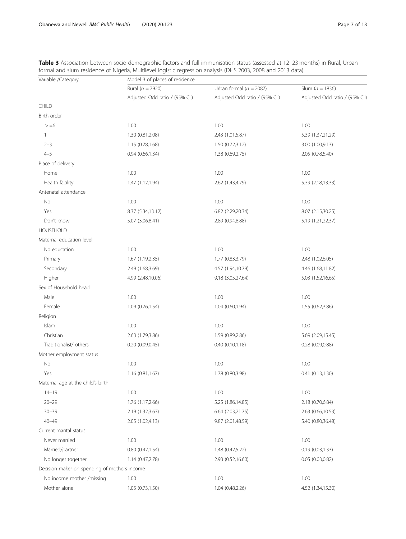| Variable / Category                          | Model 3 of places of residence |                                |                                |  |  |  |  |  |
|----------------------------------------------|--------------------------------|--------------------------------|--------------------------------|--|--|--|--|--|
|                                              | Rural ( $n = 7920$ )           | Urban formal ( $n = 2087$ )    | Slum ( $n = 1836$ )            |  |  |  |  |  |
|                                              | Adjusted Odd ratio / (95% C.I) | Adjusted Odd ratio / (95% C.I) | Adjusted Odd ratio / (95% C.I) |  |  |  |  |  |
| CHILD                                        |                                |                                |                                |  |  |  |  |  |
| Birth order                                  |                                |                                |                                |  |  |  |  |  |
| $> = 6$                                      | 1.00                           | 1.00                           | 1.00                           |  |  |  |  |  |
| 1                                            | 1.30 (0.81,2.08)               | 2.43 (1.01,5.87)               | 5.39 (1.37,21.29)              |  |  |  |  |  |
| $2 - 3$                                      | 1.15 (0.78,1.68)               | 1.50 (0.72,3.12)               | 3.00 (1.00,9.13)               |  |  |  |  |  |
| $4 - 5$                                      | 0.94(0.66, 1.34)               | 1.38 (0.69,2.75)               | 2.05 (0.78,5.40)               |  |  |  |  |  |
| Place of delivery                            |                                |                                |                                |  |  |  |  |  |
| Home                                         | 1.00                           | 1.00                           | 1.00                           |  |  |  |  |  |
| Health facility                              | 1.47 (1.12,1.94)               | 2.62 (1.43,4.79)               | 5.39 (2.18,13.33)              |  |  |  |  |  |
| Antenatal attendance                         |                                |                                |                                |  |  |  |  |  |
| No                                           | 1.00                           | 1.00                           | 1.00                           |  |  |  |  |  |
| Yes                                          | 8.37 (5.34,13.12)              | 6.82 (2.29,20.34)              | 8.07 (2.15,30.25)              |  |  |  |  |  |
| Don't know                                   | 5.07 (3.06,8.41)               | 2.89 (0.94,8.88)               | 5.19 (1.21,22.37)              |  |  |  |  |  |
| <b>HOUSEHOLD</b>                             |                                |                                |                                |  |  |  |  |  |
| Maternal education level                     |                                |                                |                                |  |  |  |  |  |
| No education                                 | 1.00                           | 1.00                           | 1.00                           |  |  |  |  |  |
| Primary                                      | 1.67 (1.19,2.35)               | 1.77 (0.83,3.79)               | 2.48 (1.02,6.05)               |  |  |  |  |  |
| Secondary                                    | 2.49 (1.68,3.69)               | 4.57 (1.94,10.79)              | 4.46 (1.68,11.82)              |  |  |  |  |  |
| Higher                                       | 4.99 (2.48,10.06)              | 9.18 (3.05,27.64)              | 5.03 (1.52,16.65)              |  |  |  |  |  |
| Sex of Household head                        |                                |                                |                                |  |  |  |  |  |
| Male                                         | 1.00                           | 1.00                           | 1.00                           |  |  |  |  |  |
| Female                                       | 1.09 (0.76,1.54)               | 1.04 (0.60,1.94)               | 1.55 (0.62,3.86)               |  |  |  |  |  |
| Religion                                     |                                |                                |                                |  |  |  |  |  |
| Islam                                        | 1.00                           | 1.00                           | 1.00                           |  |  |  |  |  |
| Christian                                    | 2.63 (1.79,3.86)               | 1.59 (0.89,2.86)               | 5.69 (2.09,15.45)              |  |  |  |  |  |
| Traditionalist/ others                       | 0.20(0.09, 0.45)               | 0.40(0.10, 1.18)               | 0.28(0.09, 0.88)               |  |  |  |  |  |
| Mother employment status                     |                                |                                |                                |  |  |  |  |  |
| No                                           | 1.00                           | 1.00                           | 1.00                           |  |  |  |  |  |
| Yes                                          | 1.16(0.81, 1.67)               | 1.78 (0.80,3.98)               | 0.41(0.13, 1.30)               |  |  |  |  |  |
| Maternal age at the child's birth            |                                |                                |                                |  |  |  |  |  |
| $14 - 19$                                    | 1.00                           | 1.00                           | 1.00                           |  |  |  |  |  |
| $20 - 29$                                    | 1.76 (1.17,2.66)               | 5.25 (1.86,14.85)              | 2.18 (0.70,6.84)               |  |  |  |  |  |
| $30 - 39$                                    | 2.19 (1.32,3.63)               | 6.64 (2.03,21.75)              | 2.63 (0.66,10.53)              |  |  |  |  |  |
| $40 - 49$                                    | 2.05 (1.02,4.13)               | 9.87 (2.01,48.59)              | 5.40 (0.80,36.48)              |  |  |  |  |  |
| Current marital status                       |                                |                                |                                |  |  |  |  |  |
| Never married                                | 1.00                           | 1.00                           | 1.00                           |  |  |  |  |  |
| Married/partner                              | 0.80(0.42, 1.54)               | 1.48 (0.42,5.22)               | 0.19(0.03, 1.33)               |  |  |  |  |  |
| No longer together                           | 1.14 (0.47,2.78)               | 2.93 (0.52,16.60)              | 0.05(0.03, 0.82)               |  |  |  |  |  |
| Decision maker on spending of mothers income |                                |                                |                                |  |  |  |  |  |
| No income mother /missing                    | 1.00                           | 1.00                           | 1.00                           |  |  |  |  |  |
| Mother alone                                 | 1.05 (0.73,1.50)               | 1.04 (0.48,2.26)               | 4.52 (1.34,15.30)              |  |  |  |  |  |

<span id="page-6-0"></span>

| Table 3 Association between socio-demographic factors and full immunisation status (assessed at 12-23 months) in Rural, Urban |
|-------------------------------------------------------------------------------------------------------------------------------|
| formal and slum residence of Nigeria, Multilevel logistic regression analysis (DHS 2003, 2008 and 2013 data)                  |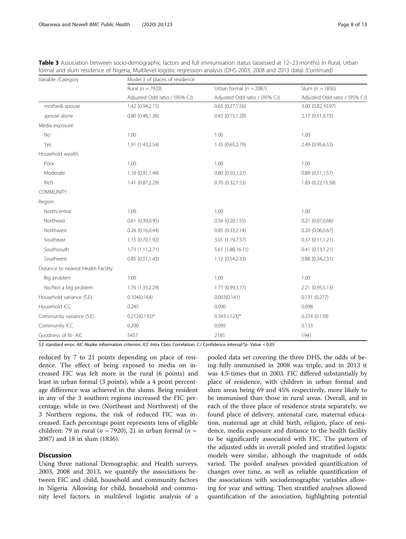| Variable /Category                  | Model 3 of places of residence |                                |                                |  |  |  |  |
|-------------------------------------|--------------------------------|--------------------------------|--------------------------------|--|--|--|--|
|                                     | Rural ( $n = 7920$ )           | Urban formal ( $n = 2087$ )    | Slum ( $n = 1836$ )            |  |  |  |  |
|                                     | Adjusted Odd ratio / (95% C.I) | Adjusted Odd ratio / (95% C.I) | Adjusted Odd ratio / (95% C.I) |  |  |  |  |
| mother& spouse                      | 1.42(0.94, 2.15)               | 0.65(0.27,1.56)                | 3.00 (0.82,10.97)              |  |  |  |  |
| spouse alone                        | 0.80(0.48, 1.36)               | 0.43(0.15, 1.20)               | 2.17 (0.51,9.15)               |  |  |  |  |
| Media exposure                      |                                |                                |                                |  |  |  |  |
| No                                  | 1.00                           | 1.00                           | 1.00                           |  |  |  |  |
| Yes                                 | 1.91 (1.43,2.54)               | 1.35 (0.65,2.79)               | 2.49 (0.95,6.53)               |  |  |  |  |
| Household wealth                    |                                |                                |                                |  |  |  |  |
| Poor                                | 1.00                           | 1.00                           | 1.00                           |  |  |  |  |
| Moderate                            | 1.16 (0.91,1.48)               | 0.80(0.50, 1.27)               | 0.89(0.51, 1.57)               |  |  |  |  |
| Rich                                | 1.41 (0.87,2.29)               | 0.70(0.32, 1.53)               | 1.83 (0.22,15.58)              |  |  |  |  |
| COMMUNITY                           |                                |                                |                                |  |  |  |  |
| Region                              |                                |                                |                                |  |  |  |  |
| Northcentral                        | 1.00                           | 1.00                           | 1.00                           |  |  |  |  |
| Northeast                           | 0.61(0.39, 0.95)               | 0.56(0.20, 1.55)               | 0.21(0.07,0.66)                |  |  |  |  |
| Northwest                           | 0.26(0.16, 0.44)               | 0.85(0.33,2.14)                | 0.20(0.06, 0.67)               |  |  |  |  |
| Southeast                           | 1.15 (0.70,1.92)               | 3.01 (1.19,7.57)               | 0.37(0.11, 1.21)               |  |  |  |  |
| Southsouth                          | 1.73(1.11, 2.71)               | 5.61 (1.88,16.71)              | 0.41(0.13, 1.21)               |  |  |  |  |
| Southwest                           | 0.85(0.51, 1.43)               | 1.12(0.54, 2.33)               | 0.88(0.34, 2.31)               |  |  |  |  |
| Distance to nearest Health Facility |                                |                                |                                |  |  |  |  |
| Big problem                         | 1.00                           | 1.00                           | 1.00                           |  |  |  |  |
| No/Not a big problem                | 1.76 (1.35,2.29)               | 1.77 (0.99,3.17)               | 2.21 (0.95,5.13)               |  |  |  |  |
| Household variance (S.E)            | 0.104(0.164)                   | 0.003(0.141)                   | 0.131(0.277)                   |  |  |  |  |
| Household ICC                       | 0.245                          | 0.090                          | 0.098                          |  |  |  |  |
| Community variance (S.E)            | $0.212(0.135)^*$               | $0.343$ $(.123)^*$             | 0.374(0.139)                   |  |  |  |  |

| Table 3 Association between socio-demographic factors and full immunisation status (assessed at 12-23 months) in Rural, Urban |
|-------------------------------------------------------------------------------------------------------------------------------|
| formal and slum residence of Nigeria, Multilevel logistic regression analysis (DHS 2003, 2008 and 2013 data) (Continued)      |

S.E standard error; AIC Akaike information criterion; ICC Intra Class Correlation; C.I Confidence interval:\*p- Value < 0.05

Community ICC 0.200 0.200 0.095 0.133 Goodness of fit- AIC 5457 5457 1941 2185 2185 1941

reduced by 7 to 21 points depending on place of residence. The effect of being exposed to media on increased FIC was felt more in the rural (6 points) and least in urban formal (3 points), while a 4 point percentage difference was achieved in the slums. Being resident in any of the 3 southern regions increased the FIC percentage, while in two (Northeast and Northwest) of the 3 Northern regions, the risk of reduced FIC was increased. Each percentage point represents tens of eligible children: 79 in rural ( $n = 7920$ ), 21 in urban formal ( $n =$ 2087) and 18 in slum (1836).

## **Discussion**

Using three national Demographic and Health surveys, 2003, 2008 and 2013, we quantify the associations between FIC and child, household and community factors in Nigeria. Allowing for child, household and community level factors, in multilevel logistic analysis of a

pooled data set covering the three DHS, the odds of being fully immunised in 2008 was triple, and in 2013 it was 4.5-times that in 2003. FIC differed substantially by place of residence, with children in urban formal and slum areas being 69 and 45% respectively, more likely to be immunised than those in rural areas. Overall, and in each of the three place of residence strata separately, we found place of delivery, antenatal care, maternal education, maternal age at child birth, religion, place of residence, media exposure and distance to the health facility to be significantly associated with FIC. The pattern of the adjusted odds in overall pooled and stratified logistic models were similar, although the magnitude of odds varied. The pooled analyses provided quantification of changes over time, as well as reliable quantification of the associations with sociodemographic variables allowing for year and setting. Then stratified analyses allowed quantification of the association, highlighting potential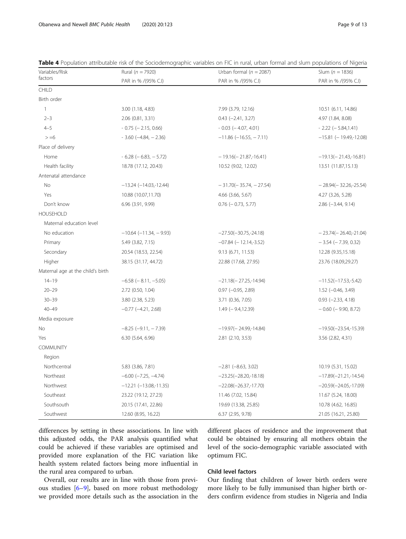| Variables/Risk                    | Rural ( $n = 7920$ )             | Urban formal ( $n = 2087$ )     | Slum ( $n = 1836$ )         |
|-----------------------------------|----------------------------------|---------------------------------|-----------------------------|
| factors                           | PAR in % /(95% C.I)              | PAR in % /(95% C.I)             | PAR in % /(95% C.I)         |
| CHILD                             |                                  |                                 |                             |
| Birth order                       |                                  |                                 |                             |
| $\mathbf{1}$                      | 3.00 (1.18, 4.83)                | 7.99 (3.79, 12.16)              | 10.51 (6.11, 14.86)         |
| $2 - 3$                           | 2.06 (0.81, 3.31)                | $0.43$ $(-2.41, 3.27)$          | 4.97 (1.84, 8.08)           |
| $4 - 5$                           | $-0.75$ ( $-2.15$ , 0.66)        | $-0.03$ ( $-4.07, 4.01$ )       | $-2.22$ ( $-5.84,1.41$ )    |
| $> = 6$                           | $-3.60$ ( $-4.84$ , $-2.36$ )    | $-11.86$ ( $-16.55$ , $-7.11$ ) | $-15.81$ (-19.49,-12.08)    |
| Place of delivery                 |                                  |                                 |                             |
| Home                              | $-6.28$ ( $-6.83$ , $-5.72$ )    | $-19.16(-21.87,-16.41)$         | $-19.13(-21.43,-16.81)$     |
| Health facility                   | 18.78 (17.12, 20.43)             | 10.52 (9.02, 12.02)             | 13.51 (11.87,15.13)         |
| Antenatal attendance              |                                  |                                 |                             |
| No                                | $-13.24$ ( $-14.03$ , $-12.44$ ) | $-31.70(-35.74, -27.54)$        | $-28.94(-32.26,-25.54)$     |
| Yes                               | 10.88 (10.07,11.70)              | 4.66 (3.66, 5.67)               | 4.27 (3.26, 5.28)           |
| Don't know                        | 6.96 (3.91, 9.99)                | $0.76$ ( $-0.73$ , 5.77)        | $2.86$ ( $-3.44$ , $9.14$ ) |
| <b>HOUSEHOLD</b>                  |                                  |                                 |                             |
| Maternal education level          |                                  |                                 |                             |
| No education                      | $-10.64$ ( $-11.34$ , $-9.93$ )  | $-27.50(-30.75,-24.18)$         | $-23.74(-26.40,-21.04)$     |
| Primary                           | 5.49 (3.82, 7.15)                | $-07.84$ ( $-12.14,-3.52$ )     | $-3.54$ ( $-7.39$ , 0.32)   |
| Secondary                         | 20.54 (18.53, 22.54)             | 9.13(6.71, 11.53)               | 12.28 (9.35,15.18)          |
| Higher                            | 38.15 (31.17, 44.72)             | 22.88 (17.68, 27.95)            | 23.76 (18.09,29.27)         |
| Maternal age at the child's birth |                                  |                                 |                             |
| $14 - 19$                         | $-6.58$ ( $-8.11, -5.05$ )       | $-21.18(-27.25,-14.94)$         | $-11.52(-17.53,-5.42)$      |
| $20 - 29$                         | 2.72 (0.50, 1.04)                | $0.97$ ( $-0.95$ , $2.89$ )     | $1.52$ (-0.46, 3.49)        |
| $30 - 39$                         | 3.80 (2.38, 5.23)                | 3.71 (0.36, 7.05)               | $0.93$ (-2.33, 4.18)        |
| $40 - 49$                         | $-0.77$ $(-4.21, 2.68)$          | $1.49$ (-9.4,12.39)             | $-0.60$ ( $-9.90$ , 8.72)   |
| Media exposure                    |                                  |                                 |                             |
| No                                | $-8.25$ $(-9.11, -7.39)$         | $-19.97(-24.99,-14.84)$         | $-19.50(-23.54,-15.39)$     |
| Yes                               | 6.30 (5.64, 6.96)                | 2.81 (2.10, 3.53)               | 3.56 (2.82, 4.31)           |
| <b>COMMUNITY</b>                  |                                  |                                 |                             |
| Region                            |                                  |                                 |                             |
| Northcentral                      | 5.83 (3.86, 7.81)                | $-2.81 (-8.63, 3.02)$           | 10.19 (5.31, 15.02)         |
| Northeast                         | $-6.00$ $(-7.25, -4.74)$         | $-23.25(-28.20,-18.18)$         | $-17.89(-21.21,-14.54)$     |
| Northwest                         | $-12.21$ $(-13.08,-11.35)$       | $-22.08(-26.37,-17.70)$         | $-20.59(-24.05,-17.09)$     |
| Southeast                         | 23.22 (19.12, 27.23)             | 11.46 (7.02, 15.84)             | 11.67 (5.24, 18.00)         |
| Southsouth                        | 20.15 (17.41, 22.86)             | 19.69 (13.38, 25.85)            | 10.78 (4.62, 16.85)         |
| Southwest                         | 12.60 (8.95, 16.22)              | 6.37 (2.95, 9.78)               | 21.05 (16.21, 25.80)        |

<span id="page-8-0"></span>Table 4 Population attributable risk of the Sociodemographic variables on FIC in rural, urban formal and slum populations of Nigeria

differences by setting in these associations. In line with this adjusted odds, the PAR analysis quantified what could be achieved if these variables are optimised and provided more explanation of the FIC variation like health system related factors being more influential in the rural area compared to urban.

different places of residence and the improvement that could be obtained by ensuring all mothers obtain the level of the socio-demographic variable associated with optimum FIC.

Overall, our results are in line with those from previous studies  $[6-9]$  $[6-9]$  $[6-9]$  $[6-9]$  $[6-9]$ , based on more robust methodology we provided more details such as the association in the

## Child level factors

Our finding that children of lower birth orders were more likely to be fully immunised than higher birth orders confirm evidence from studies in Nigeria and India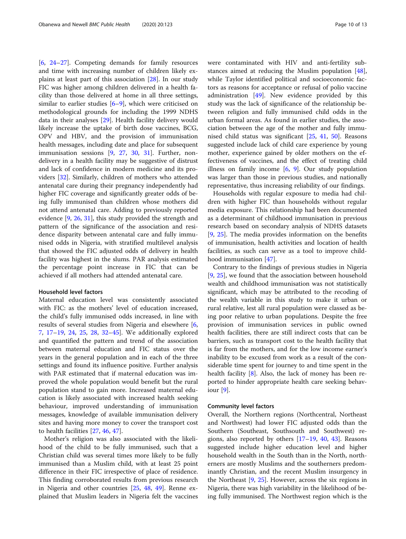[[6,](#page-11-0) [24](#page-11-0)–[27](#page-11-0)]. Competing demands for family resources and time with increasing number of children likely explains at least part of this association [[28](#page-11-0)]. In our study FIC was higher among children delivered in a health facility than those delivered at home in all three settings, similar to earlier studies  $[6-9]$  $[6-9]$  $[6-9]$ , which were criticised on methodological grounds for including the 1999 NDHS data in their analyses [[29\]](#page-11-0). Health facility delivery would likely increase the uptake of birth dose vaccines, BCG, OPV and HBV, and the provision of immunisation health messages, including date and place for subsequent immunisation sessions [\[9](#page-11-0), [27](#page-11-0), [30,](#page-11-0) [31\]](#page-12-0). Further, nondelivery in a health facility may be suggestive of distrust and lack of confidence in modern medicine and its providers [[32](#page-12-0)]. Similarly, children of mothers who attended antenatal care during their pregnancy independently had higher FIC coverage and significantly greater odds of being fully immunised than children whose mothers did not attend antenatal care. Adding to previously reported evidence [\[9](#page-11-0), [26](#page-11-0), [31\]](#page-12-0), this study provided the strength and pattern of the significance of the association and residence disparity between antenatal care and fully immunised odds in Nigeria, with stratified multilevel analysis that showed the FIC adjusted odds of delivery in health facility was highest in the slums. PAR analysis estimated the percentage point increase in FIC that can be achieved if all mothers had attended antenatal care.

## Household level factors

Maternal education level was consistently associated with FIC: as the mothers' level of education increased, the child's fully immunised odds increased, in line with results of several studies from Nigeria and elsewhere [\[6](#page-11-0), [7,](#page-11-0) [17](#page-11-0)–[19,](#page-11-0) [24](#page-11-0), [25](#page-11-0), [28,](#page-11-0) [32](#page-12-0)–[45\]](#page-12-0). We additionally explored and quantified the pattern and trend of the association between maternal education and FIC status over the years in the general population and in each of the three settings and found its influence positive. Further analysis with PAR estimated that if maternal education was improved the whole population would benefit but the rural population stand to gain more. Increased maternal education is likely associated with increased health seeking behaviour, improved understanding of immunisation messages, knowledge of available immunisation delivery sites and having more money to cover the transport cost to health facilities [\[27](#page-11-0), [46](#page-12-0), [47\]](#page-12-0).

Mother's religion was also associated with the likelihood of the child to be fully immunised, such that a Christian child was several times more likely to be fully immunised than a Muslim child, with at least 25 point difference in their FIC irrespective of place of residence. This finding corroborated results from previous research in Nigeria and other countries [[25,](#page-11-0) [48](#page-12-0), [49\]](#page-12-0). Renne explained that Muslim leaders in Nigeria felt the vaccines were contaminated with HIV and anti-fertility substances aimed at reducing the Muslim population [\[48](#page-12-0)], while Taylor identified political and socioeconomic factors as reasons for acceptance or refusal of polio vaccine administration [\[49](#page-12-0)]. New evidence provided by this study was the lack of significance of the relationship between religion and fully immunised child odds in the urban formal areas. As found in earlier studies, the association between the age of the mother and fully immunised child status was significant [[25,](#page-11-0) [41](#page-12-0), [50\]](#page-12-0). Reasons suggested include lack of child care experience by young mother, experience gained by older mothers on the effectiveness of vaccines, and the effect of treating child illness on family income  $[6, 9]$  $[6, 9]$  $[6, 9]$  $[6, 9]$ . Our study population was larger than those in previous studies, and nationally representative, thus increasing reliability of our findings.

Households with regular exposure to media had children with higher FIC than households without regular media exposure. This relationship had been documented as a determinant of childhood immunisation in previous research based on secondary analysis of NDHS datasets [[9,](#page-11-0) [25](#page-11-0)]. The media provides information on the benefits of immunisation, health activities and location of health facilities, as such can serve as a tool to improve childhood immunisation [\[47\]](#page-12-0).

Contrary to the findings of previous studies in Nigeria [[9,](#page-11-0) [25\]](#page-11-0), we found that the association between household wealth and childhood immunisation was not statistically significant, which may be attributed to the recoding of the wealth variable in this study to make it urban or rural relative, lest all rural population were classed as being poor relative to urban populations. Despite the free provision of immunisation services in public owned health facilities, there are still indirect costs that can be barriers, such as transport cost to the health facility that is far from the mothers, and for the low income earner's inability to be excused from work as a result of the considerable time spent for journey to and time spent in the health facility [[8\]](#page-11-0). Also, the lack of money has been reported to hinder appropriate health care seeking behaviour [[9](#page-11-0)].

#### Community level factors

Overall, the Northern regions (Northcentral, Northeast and Northwest) had lower FIC adjusted odds than the Southern (Southeast, Southsouth and Southwest) regions, also reported by others  $[17–19, 40, 43]$  $[17–19, 40, 43]$  $[17–19, 40, 43]$  $[17–19, 40, 43]$  $[17–19, 40, 43]$  $[17–19, 40, 43]$  $[17–19, 40, 43]$  $[17–19, 40, 43]$ . Reasons suggested include higher education level and higher household wealth in the South than in the North, northerners are mostly Muslims and the southerners predominantly Christian, and the recent Muslim insurgency in the Northeast [[9,](#page-11-0) [25](#page-11-0)]. However, across the six regions in Nigeria, there was high variability in the likelihood of being fully immunised. The Northwest region which is the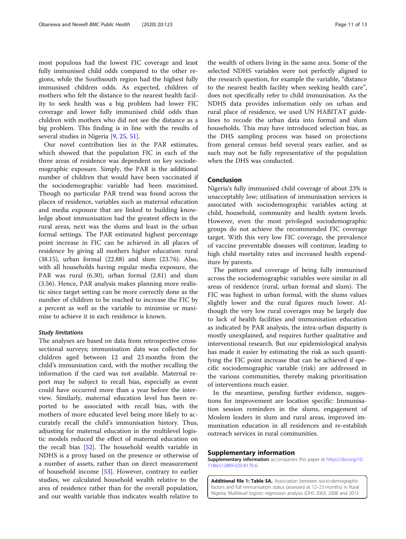<span id="page-10-0"></span>most populous had the lowest FIC coverage and least fully immunised child odds compared to the other regions, while the Southsouth region had the highest fully immunised children odds. As expected, children of mothers who felt the distance to the nearest health facility to seek health was a big problem had lower FIC coverage and lower fully immunised child odds than children with mothers who did not see the distance as a big problem. This finding is in line with the results of several studies in Nigeria [\[9](#page-11-0), [25](#page-11-0), [51](#page-12-0)].

Our novel contribution lies in the PAR estimates, which showed that the population FIC in each of the three areas of residence was dependent on key sociodemographic exposure. Simply, the PAR is the additional number of children that would have been vaccinated if the sociodemographic variable had been maximised. Though no particular PAR trend was found across the places of residence, variables such as maternal education and media exposure that are linked to building knowledge about immunisation had the greatest effects in the rural areas, next was the slums and least in the urban formal settings. The PAR estimated highest percentage point increase in FIC can be achieved in all places of residence by giving all mothers higher education: rural (38.15), urban formal (22.88) and slum (23.76). Also, with all households having regular media exposure, the PAR was rural (6.30), urban formal (2.81) and slum (3.56). Hence, PAR analysis makes planning more realistic since target setting can be more correctly done as the number of children to be reached to increase the FIC by a percent as well as the variable to minimise or maximise to achieve it in each residence is known.

#### Study limitations

The analyses are based on data from retrospective crosssectional surveys; immunisation data was collected for children aged between 12 and 23 months from the child's immunisation card, with the mother recalling the information if the card was not available. Maternal report may be subject to recall bias, especially as event could have occurred more than a year before the interview. Similarly, maternal education level has been reported to be associated with recall bias, with the mothers of more educated level being more likely to accurately recall the child's immunisation history. Thus, adjusting for maternal education in the multilevel logistic models reduced the effect of maternal education on the recall bias [[52](#page-12-0)]. The household wealth variable in NDHS is a proxy based on the presence or otherwise of a number of assets, rather than on direct measurement of household income [\[53](#page-12-0)]. However, contrary to earlier studies, we calculated household wealth relative to the area of residence rather than for the overall population, and our wealth variable thus indicates wealth relative to

the wealth of others living in the same area. Some of the selected NDHS variables were not perfectly aligned to the research question, for example the variable, "distance to the nearest health facility when seeking health care", does not specifically refer to child immunisation. As the NDHS data provides information only on urban and rural place of residence, we used UN HABITAT guidelines to recode the urban data into formal and slum households. This may have introduced selection bias, as the DHS sampling process was based on projections from general census held several years earlier, and as such may not be fully representative of the population when the DHS was conducted.

## Conclusion

Nigeria's fully immunised child coverage of about 23% is unacceptably low; utilisation of immunisation services is associated with sociodemographic variables acting at child, household, community and health system levels. However, even the most privileged sociodemographic groups do not achieve the recommended FIC coverage target. With this very low FIC coverage, the prevalence of vaccine preventable diseases will continue, leading to high child mortality rates and increased health expenditure by parents.

The pattern and coverage of being fully immunised across the sociodemographic variables were similar in all areas of residence (rural, urban formal and slum). The FIC was highest in urban formal, with the slums values slightly lower and the rural figures much lower. Although the very low rural coverages may be largely due to lack of health facilities and immunisation education as indicated by PAR analysis, the intra-urban disparity is mostly unexplained, and requires further qualitative and interventional research. But our epidemiological analysis has made it easier by estimating the risk as such quantifying the FIC point increase that can be achieved if specific sociodemographic variable (risk) are addressed in the various communities, thereby making prioritisation of interventions much easier.

In the meantime, pending further evidence, suggestions for improvement are location specific: Immunisation session reminders in the slums, engagement of Moslem leaders in slum and rural areas, improved immunisation education in all residences and re-establish outreach services in rural communities.

## Supplementary information

Supplementary information accompanies this paper at [https://doi.org/10.](https://doi.org/10.1186/s12889-020-8170-6) [1186/s12889-020-8170-6.](https://doi.org/10.1186/s12889-020-8170-6)

Additional file 1: Table SA. Association between socio-demographic factors and full immunisation status (assessed at 12–23 months) in Rural Nigeria, Multilevel logistic regression analysis (DHS 2003, 2008 and 2013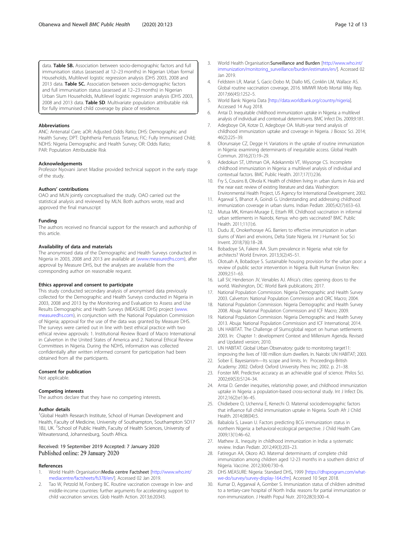<span id="page-11-0"></span>data. Table SB. Association between socio-demographic factors and full immunisation status (assessed at 12–23 months) in Nigerian Urban formal Households, Multilevel logistic regression analysis (DHS 2003, 2008 and 2013 data. Table SC. Association between socio-demographic factors and full immunisation status (assessed at 12–23 months) in Nigerian Urban Slum Households, Multilevel logistic regression analysis (DHS 2003, 2008 and 2013 data. Table SD. Multivariate population attributable risk for fully immunised child coverage by place of residence.

#### Abbreviations

ANC: Antenatal Care; aOR: Adjusted Odds Ratio; DHS: Demographic and Health Survey; DPT: Diphtheria Pertussis Tetanus; FIC: Fully Immunised Child; NDHS: Nigeria Demographic and Health Survey; OR: Odds Ratio; PAR: Population Attributable Risk

#### Acknowledgements

Professor Nyovani Janet Madise provided technical support in the early stage of the study.

#### Authors' contributions

OAO and MLN jointly conceptualised the study. OAO carried out the statistical analysis and reviewed by MLN. Both authors wrote, read and approved the final manuscript

#### Funding

The authors received no financial support for the research and authorship of this article.

#### Availability of data and materials

The anonymised data of the Demographic and Health Surveys conducted in Nigeria in 2003, 2008 and 2013 are available at ([www.measuredhs.com](http://www.measuredhs.com/)), after approval by Measure DHS, but the analyses are available from the corresponding author on reasonable request.

#### Ethics approval and consent to participate

This study conducted secondary analysis of anonymised data previously collected for the Demographic and Health Surveys conducted in Nigeria in 2003, 2008 and 2013 by the Monitoring and Evaluation to Assess and Use Results Demographic and Health Surveys (MEASURE DHS) project [\(www.](http://www.measuredhs.com/) [measuredhs.com\)](http://www.measuredhs.com/), in conjunction with the National Population Commission of Nigeria; approval for the use of the data was granted by Measure DHS. The surveys were carried out in line with best ethical practice with two ethical review approvals: 1. Institutional Review Board of Macro International in Calverton in the United States of America and 2. National Ethical Review Committees in Nigeria. During the NDHS, information was collected confidentially after written informed consent for participation had been obtained from all the participants.

#### Consent for publication

Not applicable.

#### Competing interests

The authors declare that they have no competing interests.

#### Author details

<sup>1</sup>Global Health Research Institute, School of Human Development and Health, Faculty of Medicine, University of Southampton, Southampton SO17 1BJ, UK. <sup>2</sup>School of Public Health, Faculty of Health Sciences, University of Witwatersrand, Johannesburg, South Africa.

#### Received: 19 September 2019 Accepted: 7 January 2020 Published online: 29 January 2020

#### References

- World Health Organisation: Media centre Factsheet [[http://www.who.int/](http://www.who.int/mediacentre/factsheets/fs378/en/) [mediacentre/factsheets/fs378/en/](http://www.who.int/mediacentre/factsheets/fs378/en/)]. Accessed 02 Jan 2019.
- Tao W, Petzold M, Forsberg BC. Routine vaccination coverage in low- and middle-income countries: further arguments for accelerating support to child vaccination services. Glob Health Action. 2013;6:20343.
- 3. World Health Organisation:Surveillance and Burden [\[http://www.who.int/](http://www.who.int/immunization/monitoring_surveillance/burden/estimates/en/) [immunization/monitoring\\_surveillance/burden/estimates/en/](http://www.who.int/immunization/monitoring_surveillance/burden/estimates/en/)]. Accessed 02 Jan 2019.
- 4. Feldstein LR, Mariat S, Gacic-Dobo M, Diallo MS, Conklin LM, Wallace AS. Global routine vaccination coverage, 2016. MMWR Morb Mortal Wkly Rep. 2017;66(45):1252–5.
- 5. World Bank: Nigeria Data [[http://data.worldbank.org/country/nigeria\]](http://data.worldbank.org/country/nigeria). Accessed 14 Aug 2018.
- 6. Antai D. Inequitable childhood immunization uptake in Nigeria: a multilevel analysis of individual and contextual determinants. BMC Infect Dis. 2009;9:181.
- 7. Adegboye OA, Kotze D, Adegboye OA. Multi-year trend analysis of childhood immunization uptake and coverage in Nigeria. J Biosoc Sci. 2014; 46(2):225–39.
- 8. Olorunsaiye CZ, Degge H. Variations in the uptake of routine immunization in Nigeria: examining determinants of inequitable access. Global Health Commun. 2016;2(1):19–29.
- 9. Adedokun ST, Uthman OA, Adekanmbi VT, Wiysonge CS. Incomplete childhood immunization in Nigeria: a multilevel analysis of individual and contextual factors. BMC Public Health. 2017;17(1):236.
- 10. Fry S, Cousins B, Olivola K. Health of children living in urban slums in Asia and the near east: review of existing literature and data. Washington: Environmental Health Project, US Agency for International Development; 2002.
- 11. Agarwal S, Bhanot A, Goindi G. Understanding and addressing childhood immunization coverage in urban slums. Indian Pediatr. 2005;42(7):653–63.
- 12. Mutua MK, Kimani-Murage E, Ettarh RR. Childhood vaccination in informal urban settlements in Nairobi, Kenya: who gets vaccinated? BMC Public Health. 2011;11(1):6.
- 13. Dudu JE, Onokerhoraye AG. Barriers to effective immunization in urban slums of Warri and environs, Delta State Nigeria. Int J Humanit Soc Sci Invent. 2018;7(6):18–28.
- 14. Bobadoye SA, Fakere AA. Slum prevalence in Nigeria: what role for architects? World Environ. 2013;3(2):45–51.
- 15. Olotuah A, Bobadoye S. Sustainable housing provision for the urban poor: a review of public sector intervention in Nigeria. Built Human Environ Rev. 2009;2:51–63.
- 16. Lall SV, Henderson JV, Venables AJ. Africa's cities: opening doors to the world. Washington, DC: World Bank publications; 2017.
- 17. National Population Commission. Nigeria Demographic and Health Survey 2003. Calverton: National Population Commission and ORC Macro; 2004.
- 18. National Population Commission. Nigeria Demographic and Health Survey 2008. Abuja: National Population Commission and ICF Macro; 2009.
- 19. National Population Commission. Nigeria Demographic and Health Survey 2013. Abuja: National Population Commission and ICF International; 2014.
- 20. UN HABITAT. The Challenge of Slums:global report on human settlements 2003. In: Chapter 1: development Context and Millenium Agenda. Revised and Updated version; 2010.
- 21. UN HABITAT. Global Urban Observatory: guide to monitoring target11: improving the lives of 100 million slum dwellers. In. Nairobi: UN HABITAT; 2003.
- 22. Sober E. Bayesianism-Its scope and limits. In: Proceedings-British Academy: 2002. Oxford: Oxford University Press Inc; 2002. p. 21–38.
- 23. Forster MR. Predictive accuracy as an achievable goal of science. Philos Sci. 2002;69(S3):S124–34.
- 24. Antai D. Gender inequities, relationship power, and childhood immunization uptake in Nigeria: a population-based cross-sectional study. Int J Infect Dis. 2012;16(2):e136–45.
- 25. Chidiebere O, Uchenna E, Kenechi O. Maternal sociodemographic factors that influence full child immunisation uptake in Nigeria. South Afr J Child Health. 2014;08(04):5.
- 26. Babalola S, Lawan U. Factors predicting BCG immunization status in northern Nigeria: a behavioral-ecological perspective. J Child Health Care. 2009;13(1):46–62.
- 27. Mathew JL. Inequity in childhood immunization in India: a systematic review. Indian Pediatr. 2012;49(3):203–23.
- 28. Fatiregun AA, Okoro AO. Maternal determinants of complete child immunization among children aged 12-23 months in a southern district of Nigeria. Vaccine. 2012;30(4):730–6.
- 29. DHS MEASURE: Nigeria: Standard DHS, 1999 [\[https://dhsprogram.com/what](https://dhsprogram.com/what-we-do/survey/survey-display-164.cfm)[we-do/survey/survey-display-164.cfm\]](https://dhsprogram.com/what-we-do/survey/survey-display-164.cfm). Accessed 10 Sept 2018.
- 30. Kumar D, Aggarwal A, Gomber S. Immunization status of children admitted to a tertiary-care hospital of North India: reasons for partial immunization or non-immunization. J Health Popul Nutr. 2010;28(3):300–4.